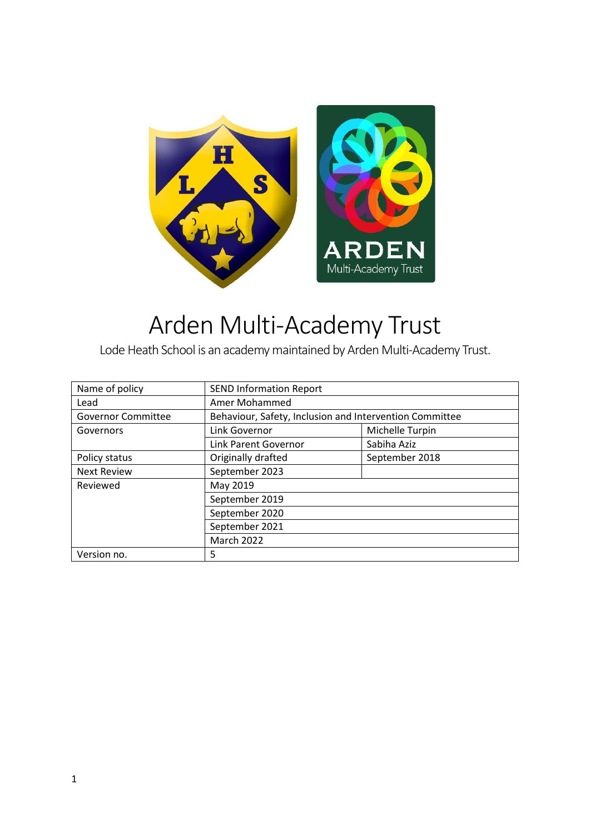

# Arden Multi-Academy Trust

Lode Heath School is an academy maintained by Arden Multi-Academy Trust.

| Name of policy            | <b>SEND Information Report</b>                          |                 |  |
|---------------------------|---------------------------------------------------------|-----------------|--|
| Lead                      | Amer Mohammed                                           |                 |  |
| <b>Governor Committee</b> | Behaviour, Safety, Inclusion and Intervention Committee |                 |  |
| Governors                 | Link Governor                                           | Michelle Turpin |  |
|                           | Link Parent Governor                                    | Sabiha Aziz     |  |
| Policy status             | Originally drafted                                      | September 2018  |  |
| <b>Next Review</b>        | September 2023                                          |                 |  |
| Reviewed                  | May 2019                                                |                 |  |
|                           | September 2019                                          |                 |  |
|                           | September 2020                                          |                 |  |
|                           | September 2021                                          |                 |  |
|                           | March 2022                                              |                 |  |
| Version no.               | 5                                                       |                 |  |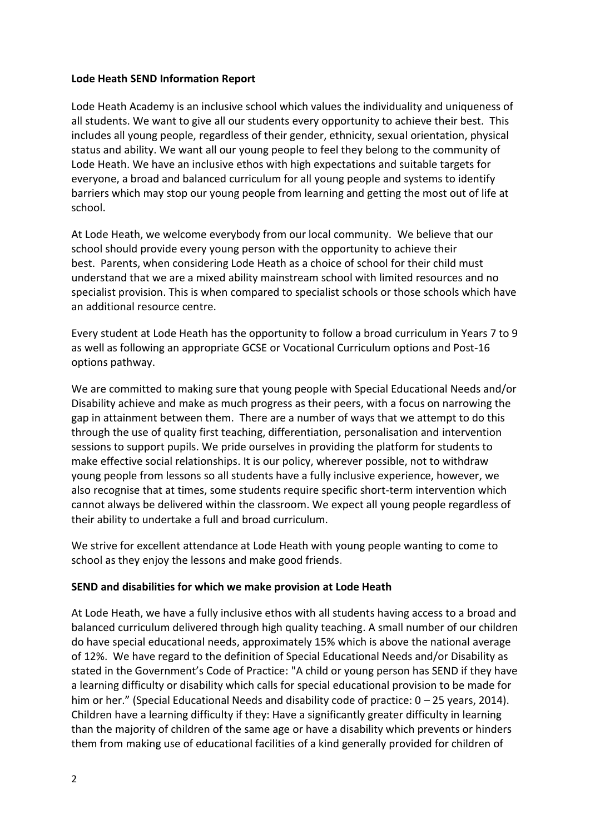#### **Lode Heath SEND Information Report**

Lode Heath Academy is an inclusive school which values the individuality and uniqueness of all students. We want to give all our students every opportunity to achieve their best. This includes all young people, regardless of their gender, ethnicity, sexual orientation, physical status and ability. We want all our young people to feel they belong to the community of Lode Heath. We have an inclusive ethos with high expectations and suitable targets for everyone, a broad and balanced curriculum for all young people and systems to identify barriers which may stop our young people from learning and getting the most out of life at school.

At Lode Heath, we welcome everybody from our local community. We believe that our school should provide every young person with the opportunity to achieve their best. Parents, when considering Lode Heath as a choice of school for their child must understand that we are a mixed ability mainstream school with limited resources and no specialist provision. This is when compared to specialist schools or those schools which have an additional resource centre.

Every student at Lode Heath has the opportunity to follow a broad curriculum in Years 7 to 9 as well as following an appropriate GCSE or Vocational Curriculum options and Post-16 options pathway.

We are committed to making sure that young people with Special Educational Needs and/or Disability achieve and make as much progress as their peers, with a focus on narrowing the gap in attainment between them. There are a number of ways that we attempt to do this through the use of quality first teaching, differentiation, personalisation and intervention sessions to support pupils. We pride ourselves in providing the platform for students to make effective social relationships. It is our policy, wherever possible, not to withdraw young people from lessons so all students have a fully inclusive experience, however, we also recognise that at times, some students require specific short-term intervention which cannot always be delivered within the classroom. We expect all young people regardless of their ability to undertake a full and broad curriculum.

We strive for excellent attendance at Lode Heath with young people wanting to come to school as they enjoy the lessons and make good friends.

# **SEND and disabilities for which we make provision at Lode Heath**

At Lode Heath, we have a fully inclusive ethos with all students having access to a broad and balanced curriculum delivered through high quality teaching. A small number of our children do have special educational needs, approximately 15% which is above the national average of 12%. We have regard to the definition of Special Educational Needs and/or Disability as stated in the Government's Code of Practice: "A child or young person has SEND if they have a learning difficulty or disability which calls for special educational provision to be made for him or her." (Special Educational Needs and disability code of practice:  $0 - 25$  years, 2014). Children have a learning difficulty if they: Have a significantly greater difficulty in learning than the majority of children of the same age or have a disability which prevents or hinders them from making use of educational facilities of a kind generally provided for children of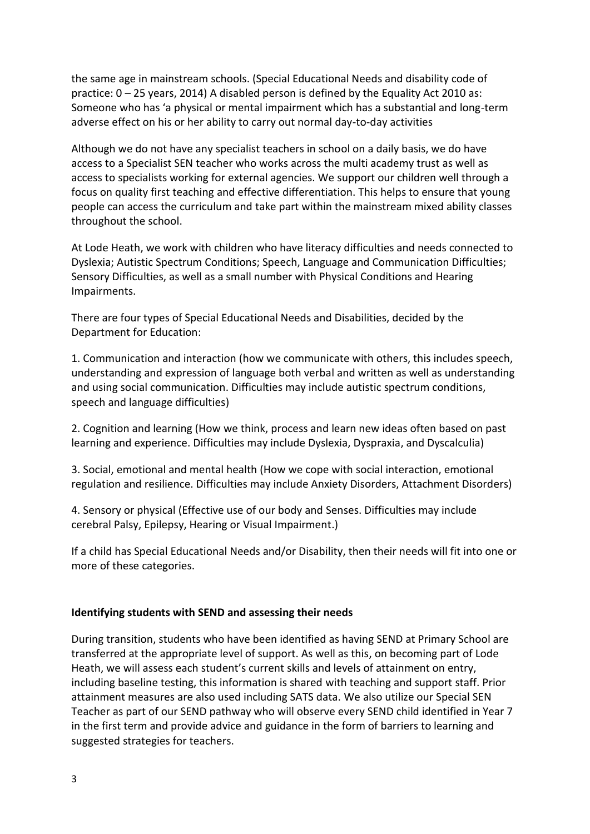the same age in mainstream schools. (Special Educational Needs and disability code of practice: 0 – 25 years, 2014) A disabled person is defined by the Equality Act 2010 as: Someone who has 'a physical or mental impairment which has a substantial and long-term adverse effect on his or her ability to carry out normal day-to-day activities

Although we do not have any specialist teachers in school on a daily basis, we do have access to a Specialist SEN teacher who works across the multi academy trust as well as access to specialists working for external agencies. We support our children well through a focus on quality first teaching and effective differentiation. This helps to ensure that young people can access the curriculum and take part within the mainstream mixed ability classes throughout the school.

At Lode Heath, we work with children who have literacy difficulties and needs connected to Dyslexia; Autistic Spectrum Conditions; Speech, Language and Communication Difficulties; Sensory Difficulties, as well as a small number with Physical Conditions and Hearing Impairments.

There are four types of Special Educational Needs and Disabilities, decided by the Department for Education:

1. Communication and interaction (how we communicate with others, this includes speech, understanding and expression of language both verbal and written as well as understanding and using social communication. Difficulties may include autistic spectrum conditions, speech and language difficulties)

2. Cognition and learning (How we think, process and learn new ideas often based on past learning and experience. Difficulties may include Dyslexia, Dyspraxia, and Dyscalculia)

3. Social, emotional and mental health (How we cope with social interaction, emotional regulation and resilience. Difficulties may include Anxiety Disorders, Attachment Disorders)

4. Sensory or physical (Effective use of our body and Senses. Difficulties may include cerebral Palsy, Epilepsy, Hearing or Visual Impairment.)

If a child has Special Educational Needs and/or Disability, then their needs will fit into one or more of these categories.

#### **Identifying students with SEND and assessing their needs**

During transition, students who have been identified as having SEND at Primary School are transferred at the appropriate level of support. As well as this, on becoming part of Lode Heath, we will assess each student's current skills and levels of attainment on entry, including baseline testing, this information is shared with teaching and support staff. Prior attainment measures are also used including SATS data. We also utilize our Special SEN Teacher as part of our SEND pathway who will observe every SEND child identified in Year 7 in the first term and provide advice and guidance in the form of barriers to learning and suggested strategies for teachers.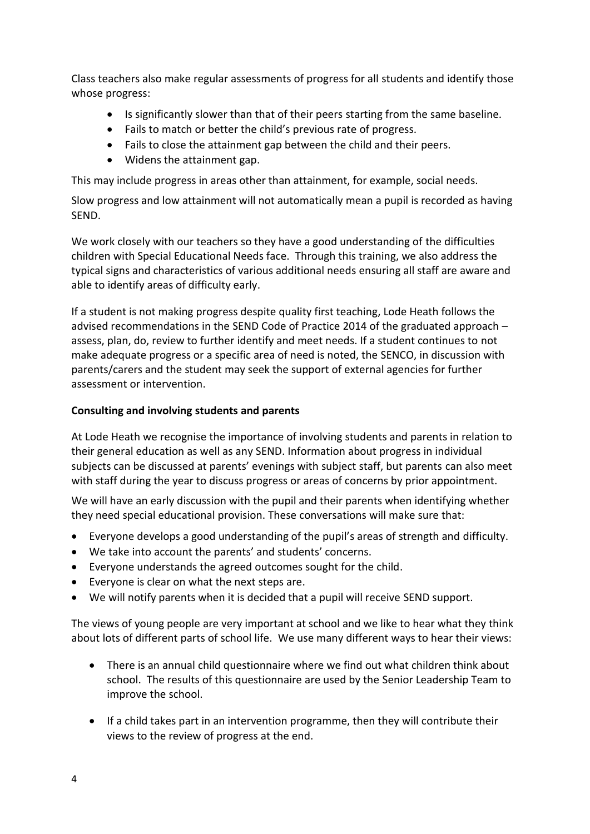Class teachers also make regular assessments of progress for all students and identify those whose progress:

- Is significantly slower than that of their peers starting from the same baseline.
- Fails to match or better the child's previous rate of progress.
- Fails to close the attainment gap between the child and their peers.
- Widens the attainment gap.

This may include progress in areas other than attainment, for example, social needs.

Slow progress and low attainment will not automatically mean a pupil is recorded as having SEND.

We work closely with our teachers so they have a good understanding of the difficulties children with Special Educational Needs face. Through this training, we also address the typical signs and characteristics of various additional needs ensuring all staff are aware and able to identify areas of difficulty early.

If a student is not making progress despite quality first teaching, Lode Heath follows the advised recommendations in the SEND Code of Practice 2014 of the graduated approach – assess, plan, do, review to further identify and meet needs. If a student continues to not make adequate progress or a specific area of need is noted, the SENCO, in discussion with parents/carers and the student may seek the support of external agencies for further assessment or intervention.

## **Consulting and involving students and parents**

At Lode Heath we recognise the importance of involving students and parents in relation to their general education as well as any SEND. Information about progress in individual subjects can be discussed at parents' evenings with subject staff, but parents can also meet with staff during the year to discuss progress or areas of concerns by prior appointment.

We will have an early discussion with the pupil and their parents when identifying whether they need special educational provision. These conversations will make sure that:

- Everyone develops a good understanding of the pupil's areas of strength and difficulty.
- We take into account the parents' and students' concerns.
- Everyone understands the agreed outcomes sought for the child.
- Everyone is clear on what the next steps are.
- We will notify parents when it is decided that a pupil will receive SEND support.

The views of young people are very important at school and we like to hear what they think about lots of different parts of school life. We use many different ways to hear their views:

- There is an annual child questionnaire where we find out what children think about school. The results of this questionnaire are used by the Senior Leadership Team to improve the school.
- If a child takes part in an intervention programme, then they will contribute their views to the review of progress at the end.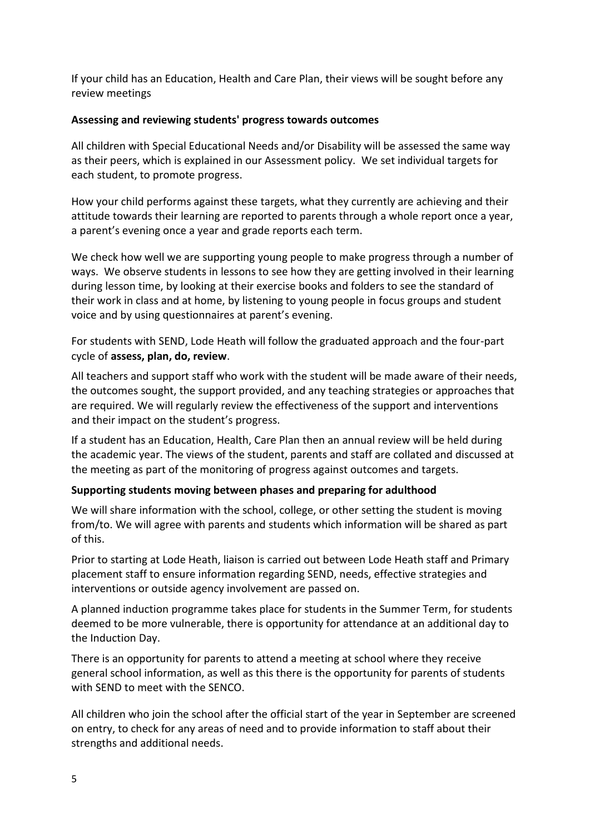If your child has an Education, Health and Care Plan, their views will be sought before any review meetings

# **Assessing and reviewing students' progress towards outcomes**

All children with Special Educational Needs and/or Disability will be assessed the same way as their peers, which is explained in our Assessment policy. We set individual targets for each student, to promote progress.

How your child performs against these targets, what they currently are achieving and their attitude towards their learning are reported to parents through a whole report once a year, a parent's evening once a year and grade reports each term.

We check how well we are supporting young people to make progress through a number of ways. We observe students in lessons to see how they are getting involved in their learning during lesson time, by looking at their exercise books and folders to see the standard of their work in class and at home, by listening to young people in focus groups and student voice and by using questionnaires at parent's evening.

For students with SEND, Lode Heath will follow the graduated approach and the four-part cycle of **assess, plan, do, review**.

All teachers and support staff who work with the student will be made aware of their needs, the outcomes sought, the support provided, and any teaching strategies or approaches that are required. We will regularly review the effectiveness of the support and interventions and their impact on the student's progress.

If a student has an Education, Health, Care Plan then an annual review will be held during the academic year. The views of the student, parents and staff are collated and discussed at the meeting as part of the monitoring of progress against outcomes and targets.

# **Supporting students moving between phases and preparing for adulthood**

We will share information with the school, college, or other setting the student is moving from/to. We will agree with parents and students which information will be shared as part of this.

Prior to starting at Lode Heath, liaison is carried out between Lode Heath staff and Primary placement staff to ensure information regarding SEND, needs, effective strategies and interventions or outside agency involvement are passed on.

A planned induction programme takes place for students in the Summer Term, for students deemed to be more vulnerable, there is opportunity for attendance at an additional day to the Induction Day.

There is an opportunity for parents to attend a meeting at school where they receive general school information, as well as this there is the opportunity for parents of students with SEND to meet with the SENCO.

All children who join the school after the official start of the year in September are screened on entry, to check for any areas of need and to provide information to staff about their strengths and additional needs.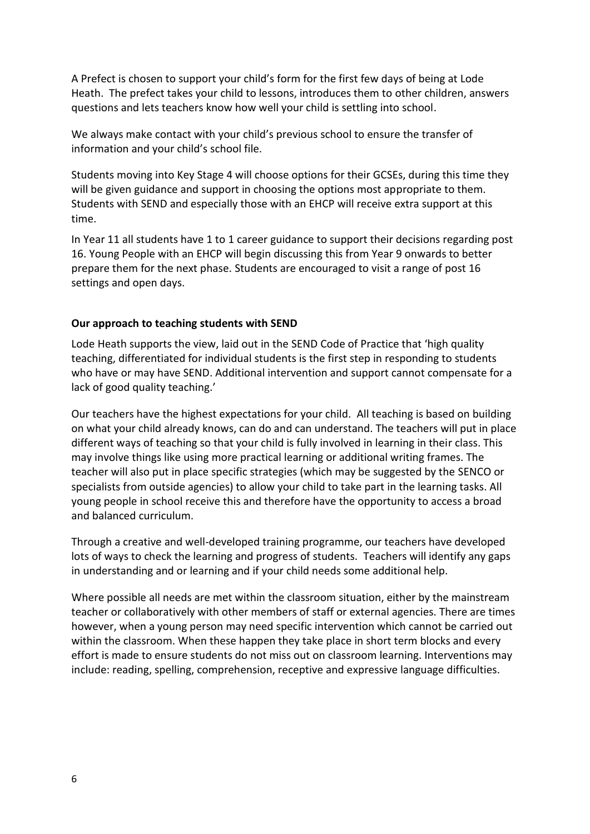A Prefect is chosen to support your child's form for the first few days of being at Lode Heath. The prefect takes your child to lessons, introduces them to other children, answers questions and lets teachers know how well your child is settling into school.

We always make contact with your child's previous school to ensure the transfer of information and your child's school file.

Students moving into Key Stage 4 will choose options for their GCSEs, during this time they will be given guidance and support in choosing the options most appropriate to them. Students with SEND and especially those with an EHCP will receive extra support at this time.

In Year 11 all students have 1 to 1 career guidance to support their decisions regarding post 16. Young People with an EHCP will begin discussing this from Year 9 onwards to better prepare them for the next phase. Students are encouraged to visit a range of post 16 settings and open days.

#### **Our approach to teaching students with SEND**

Lode Heath supports the view, laid out in the SEND Code of Practice that 'high quality teaching, differentiated for individual students is the first step in responding to students who have or may have SEND. Additional intervention and support cannot compensate for a lack of good quality teaching.'

Our teachers have the highest expectations for your child. All teaching is based on building on what your child already knows, can do and can understand. The teachers will put in place different ways of teaching so that your child is fully involved in learning in their class. This may involve things like using more practical learning or additional writing frames. The teacher will also put in place specific strategies (which may be suggested by the SENCO or specialists from outside agencies) to allow your child to take part in the learning tasks. All young people in school receive this and therefore have the opportunity to access a broad and balanced curriculum.

Through a creative and well-developed training programme, our teachers have developed lots of ways to check the learning and progress of students. Teachers will identify any gaps in understanding and or learning and if your child needs some additional help.

Where possible all needs are met within the classroom situation, either by the mainstream teacher or collaboratively with other members of staff or external agencies. There are times however, when a young person may need specific intervention which cannot be carried out within the classroom. When these happen they take place in short term blocks and every effort is made to ensure students do not miss out on classroom learning. Interventions may include: reading, spelling, comprehension, receptive and expressive language difficulties.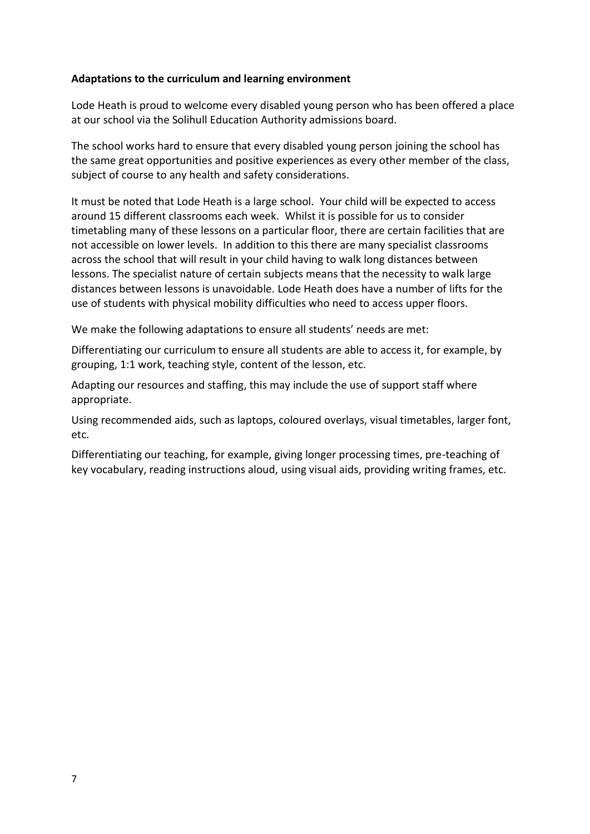## **Adaptations to the curriculum and learning environment**

Lode Heath is proud to welcome every disabled young person who has been offered a place at our school via the Solihull Education Authority admissions board.

The school works hard to ensure that every disabled young person joining the school has the same great opportunities and positive experiences as every other member of the class, subject of course to any health and safety considerations.

It must be noted that Lode Heath is a large school. Your child will be expected to access around 15 different classrooms each week. Whilst it is possible for us to consider timetabling many of these lessons on a particular floor, there are certain facilities that are not accessible on lower levels. In addition to this there are many specialist classrooms across the school that will result in your child having to walk long distances between lessons. The specialist nature of certain subjects means that the necessity to walk large distances between lessons is unavoidable. Lode Heath does have a number of lifts for the use of students with physical mobility difficulties who need to access upper floors.

We make the following adaptations to ensure all students' needs are met:

Differentiating our curriculum to ensure all students are able to access it, for example, by grouping, 1:1 work, teaching style, content of the lesson, etc.

Adapting our resources and staffing, this may include the use of support staff where appropriate.

Using recommended aids, such as laptops, coloured overlays, visual timetables, larger font, etc.

Differentiating our teaching, for example, giving longer processing times, pre-teaching of key vocabulary, reading instructions aloud, using visual aids, providing writing frames, etc.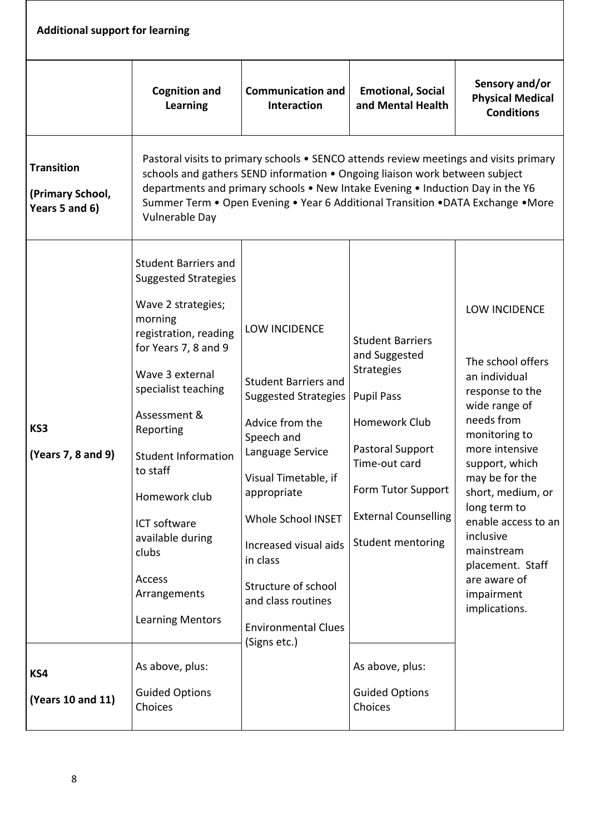| <b>Additional support for learning</b>                  |                                                                                                                                                                                                                                                                                                                                                                                                                                         |                                                                                                                                                                                                                                                                                                                                             |                                                                                                                                                                                                                                                                    |                                                                                                                                                                                                                                                                                                                                        |  |
|---------------------------------------------------------|-----------------------------------------------------------------------------------------------------------------------------------------------------------------------------------------------------------------------------------------------------------------------------------------------------------------------------------------------------------------------------------------------------------------------------------------|---------------------------------------------------------------------------------------------------------------------------------------------------------------------------------------------------------------------------------------------------------------------------------------------------------------------------------------------|--------------------------------------------------------------------------------------------------------------------------------------------------------------------------------------------------------------------------------------------------------------------|----------------------------------------------------------------------------------------------------------------------------------------------------------------------------------------------------------------------------------------------------------------------------------------------------------------------------------------|--|
|                                                         | <b>Cognition and</b><br><b>Learning</b>                                                                                                                                                                                                                                                                                                                                                                                                 | <b>Communication and</b><br>Interaction                                                                                                                                                                                                                                                                                                     | <b>Emotional, Social</b><br>and Mental Health                                                                                                                                                                                                                      | Sensory and/or<br><b>Physical Medical</b><br><b>Conditions</b>                                                                                                                                                                                                                                                                         |  |
| <b>Transition</b><br>(Primary School,<br>Years 5 and 6) | Vulnerable Day                                                                                                                                                                                                                                                                                                                                                                                                                          | Pastoral visits to primary schools • SENCO attends review meetings and visits primary<br>schools and gathers SEND information . Ongoing liaison work between subject<br>departments and primary schools . New Intake Evening . Induction Day in the Y6<br>Summer Term . Open Evening . Year 6 Additional Transition . DATA Exchange . More  |                                                                                                                                                                                                                                                                    |                                                                                                                                                                                                                                                                                                                                        |  |
| KS3<br>(Years 7, 8 and 9)<br>KS4<br>(Years 10 and 11)   | <b>Student Barriers and</b><br><b>Suggested Strategies</b><br>Wave 2 strategies;<br>morning<br>registration, reading<br>for Years 7, 8 and 9<br>Wave 3 external<br>specialist teaching<br>Assessment &<br>Reporting<br><b>Student Information</b><br>to staff<br>Homework club<br>ICT software<br>available during<br>clubs<br>Access<br>Arrangements<br><b>Learning Mentors</b><br>As above, plus:<br><b>Guided Options</b><br>Choices | <b>LOW INCIDENCE</b><br><b>Student Barriers and</b><br><b>Suggested Strategies</b><br>Advice from the<br>Speech and<br>Language Service<br>Visual Timetable, if<br>appropriate<br><b>Whole School INSET</b><br>Increased visual aids<br>in class<br>Structure of school<br>and class routines<br><b>Environmental Clues</b><br>(Signs etc.) | <b>Student Barriers</b><br>and Suggested<br>Strategies<br><b>Pupil Pass</b><br>Homework Club<br>Pastoral Support<br>Time-out card<br>Form Tutor Support<br><b>External Counselling</b><br>Student mentoring<br>As above, plus:<br><b>Guided Options</b><br>Choices | LOW INCIDENCE<br>The school offers<br>an individual<br>response to the<br>wide range of<br>needs from<br>monitoring to<br>more intensive<br>support, which<br>may be for the<br>short, medium, or<br>long term to<br>enable access to an<br>inclusive<br>mainstream<br>placement. Staff<br>are aware of<br>impairment<br>implications. |  |

 $\overline{\phantom{a}}$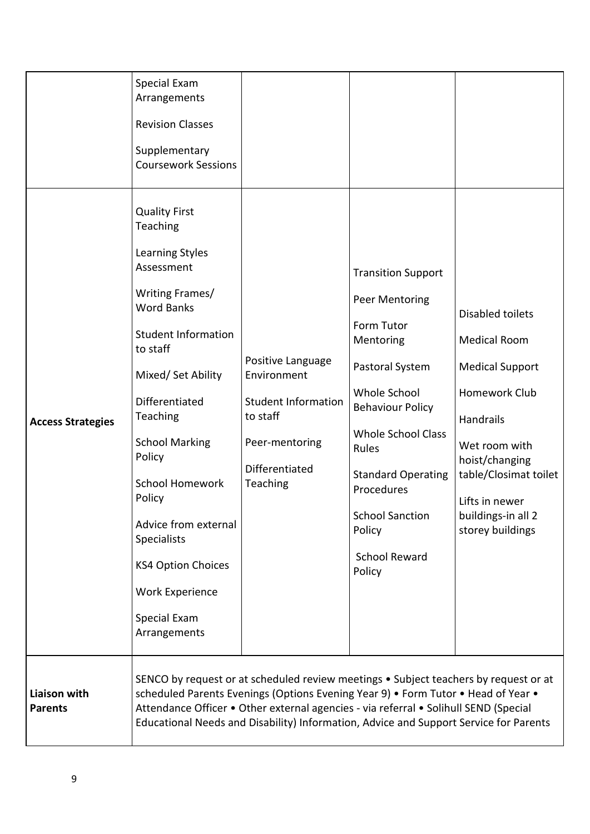|                                | Special Exam<br>Arrangements<br><b>Revision Classes</b><br>Supplementary<br><b>Coursework Sessions</b><br><b>Quality First</b><br>Teaching                                                                                                                                                                                                                               |                                                                                                                                                                                                                                                                                                                                                            |                                                                                                                                                                                                                                                                                             |                                                                                                                                                                                                                         |
|--------------------------------|--------------------------------------------------------------------------------------------------------------------------------------------------------------------------------------------------------------------------------------------------------------------------------------------------------------------------------------------------------------------------|------------------------------------------------------------------------------------------------------------------------------------------------------------------------------------------------------------------------------------------------------------------------------------------------------------------------------------------------------------|---------------------------------------------------------------------------------------------------------------------------------------------------------------------------------------------------------------------------------------------------------------------------------------------|-------------------------------------------------------------------------------------------------------------------------------------------------------------------------------------------------------------------------|
| <b>Access Strategies</b>       | Learning Styles<br>Assessment<br>Writing Frames/<br><b>Word Banks</b><br><b>Student Information</b><br>to staff<br>Mixed/ Set Ability<br>Differentiated<br>Teaching<br><b>School Marking</b><br>Policy<br><b>School Homework</b><br>Policy<br>Advice from external<br><b>Specialists</b><br><b>KS4 Option Choices</b><br>Work Experience<br>Special Exam<br>Arrangements | Positive Language<br>Environment<br><b>Student Information</b><br>to staff<br>Peer-mentoring<br>Differentiated<br>Teaching                                                                                                                                                                                                                                 | <b>Transition Support</b><br>Peer Mentoring<br>Form Tutor<br>Mentoring<br>Pastoral System<br>Whole School<br><b>Behaviour Policy</b><br><b>Whole School Class</b><br>Rules<br><b>Standard Operating</b><br>Procedures<br><b>School Sanction</b><br>Policy<br><b>School Reward</b><br>Policy | Disabled toilets<br><b>Medical Room</b><br><b>Medical Support</b><br>Homework Club<br>Handrails<br>Wet room with<br>hoist/changing<br>table/Closimat toilet<br>Lifts in newer<br>buildings-in all 2<br>storey buildings |
| Liaison with<br><b>Parents</b> |                                                                                                                                                                                                                                                                                                                                                                          | SENCO by request or at scheduled review meetings . Subject teachers by request or at<br>scheduled Parents Evenings (Options Evening Year 9) • Form Tutor • Head of Year •<br>Attendance Officer • Other external agencies - via referral • Solihull SEND (Special<br>Educational Needs and Disability) Information, Advice and Support Service for Parents |                                                                                                                                                                                                                                                                                             |                                                                                                                                                                                                                         |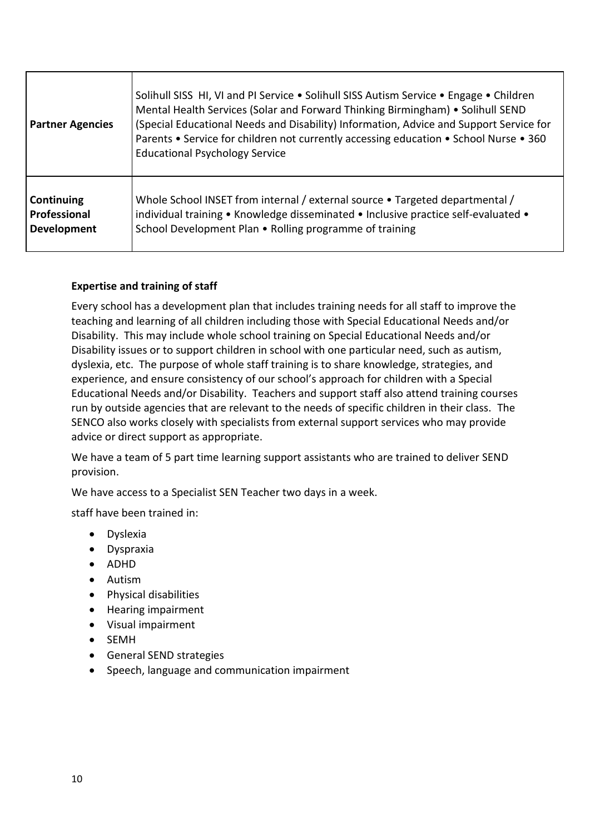| <b>Partner Agencies</b> | Solihull SISS HI, VI and PI Service • Solihull SISS Autism Service • Engage • Children<br>Mental Health Services (Solar and Forward Thinking Birmingham) • Solihull SEND<br>(Special Educational Needs and Disability) Information, Advice and Support Service for<br>Parents • Service for children not currently accessing education • School Nurse • 360<br><b>Educational Psychology Service</b> |
|-------------------------|------------------------------------------------------------------------------------------------------------------------------------------------------------------------------------------------------------------------------------------------------------------------------------------------------------------------------------------------------------------------------------------------------|
| Continuing              | Whole School INSET from internal / external source • Targeted departmental /                                                                                                                                                                                                                                                                                                                         |
| Professional            | individual training • Knowledge disseminated • Inclusive practice self-evaluated •                                                                                                                                                                                                                                                                                                                   |
| <b>Development</b>      | School Development Plan • Rolling programme of training                                                                                                                                                                                                                                                                                                                                              |

# **Expertise and training of staff**

Every school has a development plan that includes training needs for all staff to improve the teaching and learning of all children including those with Special Educational Needs and/or Disability. This may include whole school training on Special Educational Needs and/or Disability issues or to support children in school with one particular need, such as autism, dyslexia, etc. The purpose of whole staff training is to share knowledge, strategies, and experience, and ensure consistency of our school's approach for children with a Special Educational Needs and/or Disability. Teachers and support staff also attend training courses run by outside agencies that are relevant to the needs of specific children in their class. The SENCO also works closely with specialists from external support services who may provide advice or direct support as appropriate.

We have a team of 5 part time learning support assistants who are trained to deliver SEND provision.

We have access to a Specialist SEN Teacher two days in a week.

staff have been trained in:

- Dyslexia
- Dyspraxia
- ADHD
- Autism
- Physical disabilities
- Hearing impairment
- Visual impairment
- SEMH
- General SEND strategies
- Speech, language and communication impairment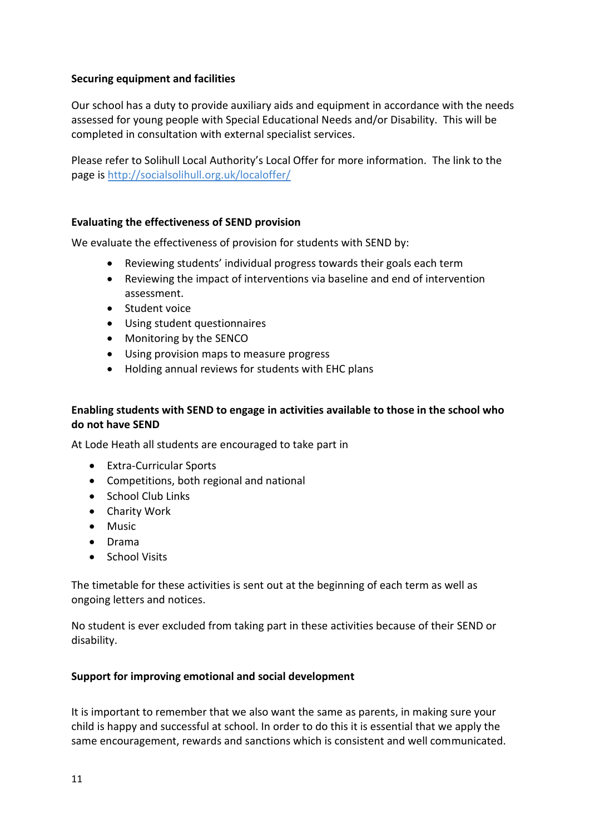## **Securing equipment and facilities**

Our school has a duty to provide auxiliary aids and equipment in accordance with the needs assessed for young people with Special Educational Needs and/or Disability. This will be completed in consultation with external specialist services.

Please refer to Solihull Local Authority's Local Offer for more information. The link to the page is <http://socialsolihull.org.uk/localoffer/>

#### **Evaluating the effectiveness of SEND provision**

We evaluate the effectiveness of provision for students with SEND by:

- Reviewing students' individual progress towards their goals each term
- Reviewing the impact of interventions via baseline and end of intervention assessment.
- Student voice
- Using student questionnaires
- Monitoring by the SENCO
- Using provision maps to measure progress
- Holding annual reviews for students with EHC plans

# **Enabling students with SEND to engage in activities available to those in the school who do not have SEND**

At Lode Heath all students are encouraged to take part in

- Extra-Curricular Sports
- Competitions, both regional and national
- School Club Links
- Charity Work
- Music
- Drama
- School Visits

The timetable for these activities is sent out at the beginning of each term as well as ongoing letters and notices.

No student is ever excluded from taking part in these activities because of their SEND or disability.

#### **Support for improving emotional and social development**

It is important to remember that we also want the same as parents, in making sure your child is happy and successful at school. In order to do this it is essential that we apply the same encouragement, rewards and sanctions which is consistent and well communicated.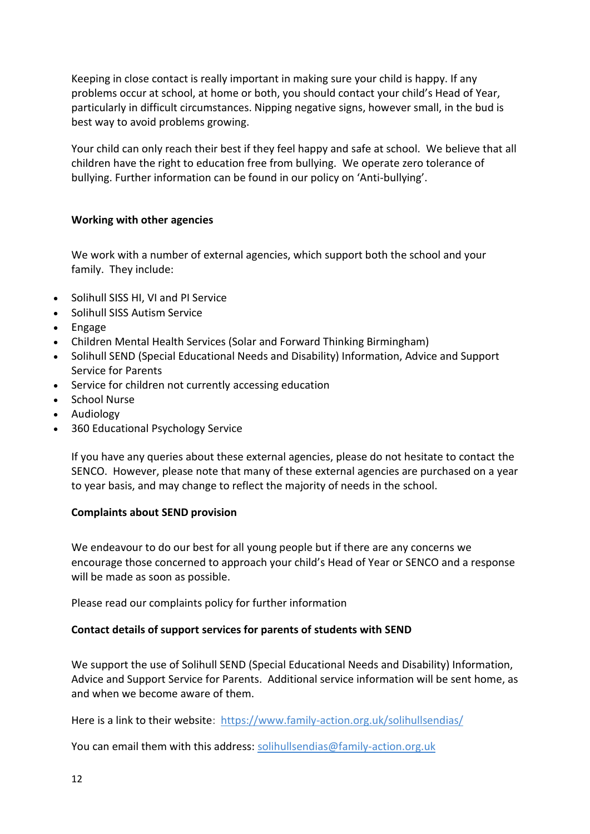Keeping in close contact is really important in making sure your child is happy. If any problems occur at school, at home or both, you should contact your child's Head of Year, particularly in difficult circumstances. Nipping negative signs, however small, in the bud is best way to avoid problems growing.

Your child can only reach their best if they feel happy and safe at school. We believe that all children have the right to education free from bullying. We operate zero tolerance of bullying. Further information can be found in our policy on 'Anti-bullying'.

#### **Working with other agencies**

We work with a number of external agencies, which support both the school and your family. They include:

- Solihull SISS HI, VI and PI Service
- Solihull SISS Autism Service
- Engage
- Children Mental Health Services (Solar and Forward Thinking Birmingham)
- Solihull SEND (Special Educational Needs and Disability) Information, Advice and Support Service for Parents
- Service for children not currently accessing education
- School Nurse
- Audiology
- 360 Educational Psychology Service

If you have any queries about these external agencies, please do not hesitate to contact the SENCO. However, please note that many of these external agencies are purchased on a year to year basis, and may change to reflect the majority of needs in the school.

#### **Complaints about SEND provision**

We endeavour to do our best for all young people but if there are any concerns we encourage those concerned to approach your child's Head of Year or SENCO and a response will be made as soon as possible.

Please read our complaints policy for further information

#### **Contact details of support services for parents of students with SEND**

We support the use of Solihull SEND (Special Educational Needs and Disability) Information, Advice and Support Service for Parents. Additional service information will be sent home, as and when we become aware of them.

Here is a link to their website: <https://www.family-action.org.uk/solihullsendias/>

You can email them with this address: [solihullsendias@family-action.org.uk](mailto:solihullsendias@family-action.org.uk)